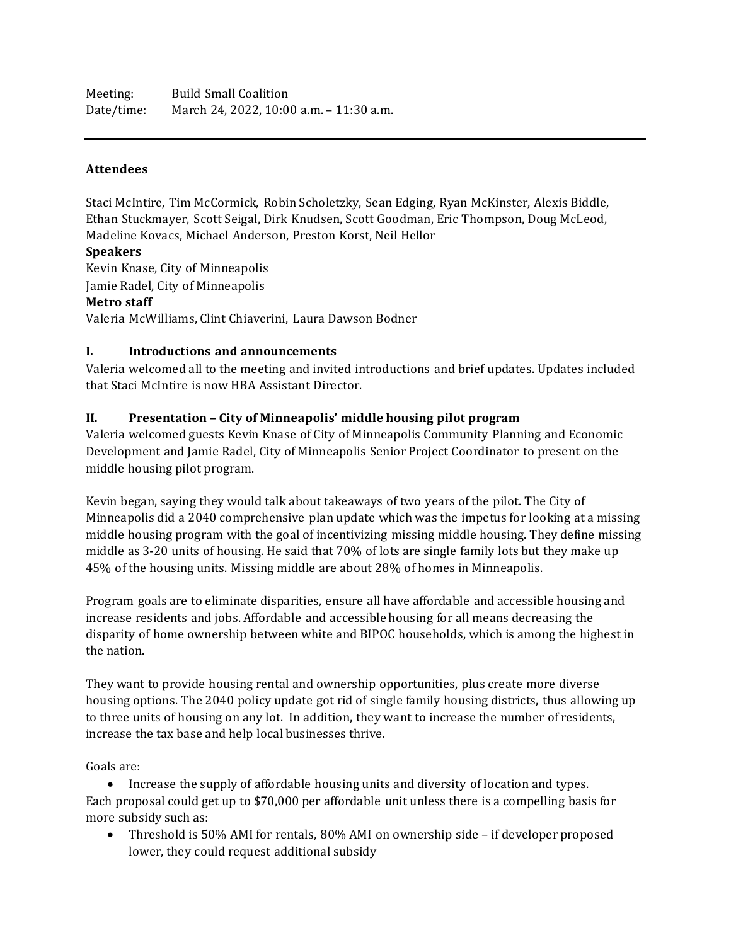Meeting: Build Small Coalition Date/time: March 24, 2022, 10:00 a.m. – 11:30 a.m.

## **Attendees**

Staci McIntire, Tim McCormick, Robin Scholetzky, Sean Edging, Ryan McKinster, Alexis Biddle, Ethan Stuckmayer, Scott Seigal, Dirk Knudsen, Scott Goodman, Eric Thompson, Doug McLeod, Madeline Kovacs, Michael Anderson, Preston Korst, Neil Hellor

**Speakers**

Kevin Knase, City of Minneapolis Jamie Radel, City of Minneapolis **Metro staff** Valeria McWilliams, Clint Chiaverini, Laura Dawson Bodner

## **I. Introductions and announcements**

Valeria welcomed all to the meeting and invited introductions and brief updates. Updates included that Staci McIntire is now HBA Assistant Director.

## **II. Presentation – City of Minneapolis' middle housing pilot program**

Valeria welcomed guests Kevin Knase of City of Minneapolis Community Planning and Economic Development and Jamie Radel, City of Minneapolis Senior Project Coordinator to present on the middle housing pilot program.

Kevin began, saying they would talk about takeaways of two years of the pilot. The City of Minneapolis did a 2040 comprehensive plan update which was the impetus for looking at a missing middle housing program with the goal of incentivizing missing middle housing. They define missing middle as 3-20 units of housing. He said that 70% of lots are single family lots but they make up 45% of the housing units. Missing middle are about 28% of homes in Minneapolis.

Program goals are to eliminate disparities, ensure all have affordable and accessible housing and increase residents and jobs. Affordable and accessible housing for all means decreasing the disparity of home ownership between white and BIPOC households, which is among the highest in the nation.

They want to provide housing rental and ownership opportunities, plus create more diverse housing options. The 2040 policy update got rid of single family housing districts, thus allowing up to three units of housing on any lot. In addition, they want to increase the number of residents, increase the tax base and help local businesses thrive.

Goals are:

• Increase the supply of affordable housing units and diversity of location and types. Each proposal could get up to \$70,000 per affordable unit unless there is a compelling basis for more subsidy such as:

• Threshold is 50% AMI for rentals, 80% AMI on ownership side – if developer proposed lower, they could request additional subsidy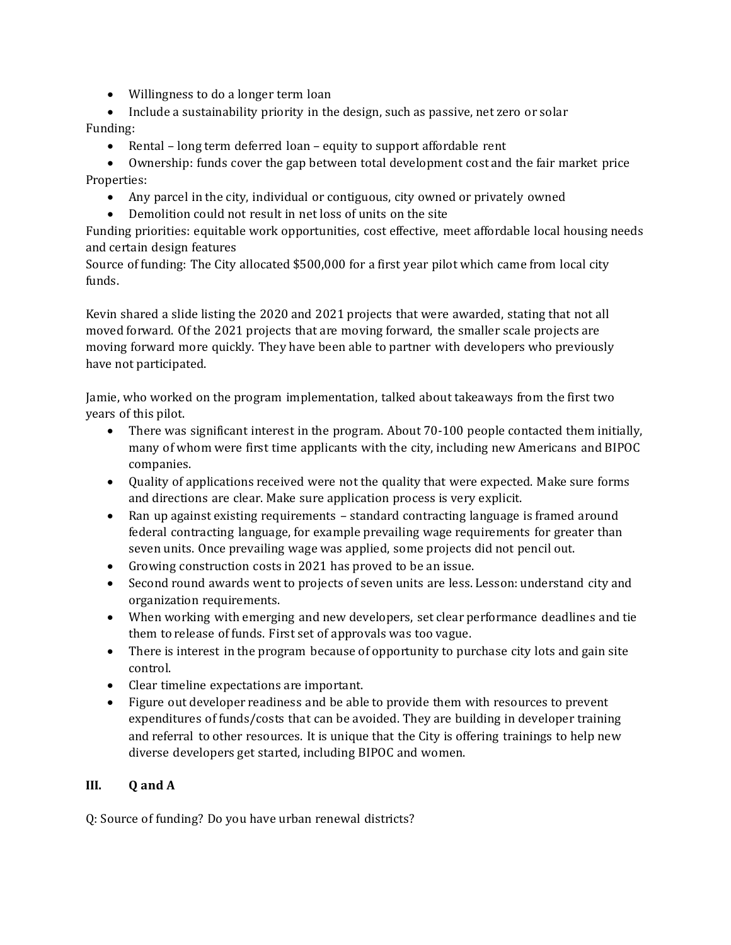- Willingness to do a longer term loan
- Include a sustainability priority in the design, such as passive, net zero or solar Funding:
	- Rental long term deferred loan equity to support affordable rent
- Ownership: funds cover the gap between total development cost and the fair market price Properties:
	- Any parcel in the city, individual or contiguous, city owned or privately owned
	- Demolition could not result in net loss of units on the site

Funding priorities: equitable work opportunities, cost effective, meet affordable local housing needs and certain design features

Source of funding: The City allocated \$500,000 for a first year pilot which came from local city funds.

Kevin shared a slide listing the 2020 and 2021 projects that were awarded, stating that not all moved forward. Of the 2021 projects that are moving forward, the smaller scale projects are moving forward more quickly. They have been able to partner with developers who previously have not participated.

Jamie, who worked on the program implementation, talked about takeaways from the first two years of this pilot.

- There was significant interest in the program. About 70-100 people contacted them initially, many of whom were first time applicants with the city, including new Americans and BIPOC companies.
- Quality of applications received were not the quality that were expected. Make sure forms and directions are clear. Make sure application process is very explicit.
- Ran up against existing requirements standard contracting language is framed around federal contracting language, for example prevailing wage requirements for greater than seven units. Once prevailing wage was applied, some projects did not pencil out.
- Growing construction costs in 2021 has proved to be an issue.
- Second round awards went to projects of seven units are less. Lesson: understand city and organization requirements.
- When working with emerging and new developers, set clear performance deadlines and tie them to release of funds. First set of approvals was too vague.
- There is interest in the program because of opportunity to purchase city lots and gain site control.
- Clear timeline expectations are important.
- Figure out developer readiness and be able to provide them with resources to prevent expenditures of funds/costs that can be avoided. They are building in developer training and referral to other resources. It is unique that the City is offering trainings to help new diverse developers get started, including BIPOC and women.

# **III. Q and A**

Q: Source of funding? Do you have urban renewal districts?